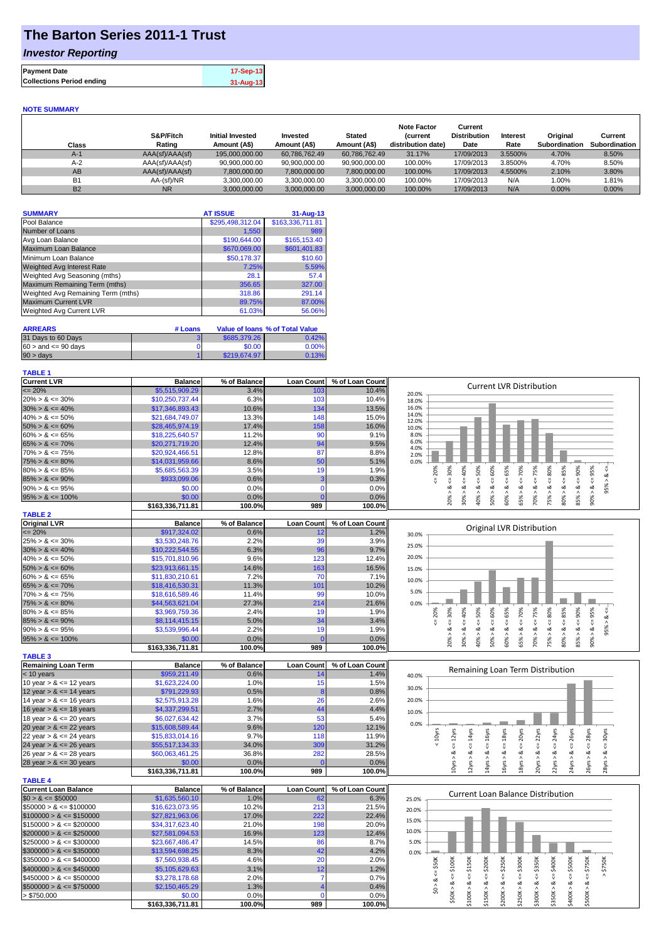## **The Barton Series 2011-1 Trust**

## *Investor Reporting*

| <b>Payment Date</b>              | 17-Sep-13 |
|----------------------------------|-----------|
| <b>Collections Period ending</b> | 31-Aug-13 |
|                                  |           |

#### **NOTE SUMMARY**

| Class     | S&P/Fitch<br>Rating | <b>Initial Invested</b><br>Amount (A\$) | Invested<br>Amount (A\$) | <b>Stated</b><br>Amount (A\$) | <b>Note Factor</b><br><i>(current</i><br>distribution date) | Current<br><b>Distribution</b><br>Date | <b>Interest</b><br>Rate | Original<br>Subordination | Current<br>Subordination |
|-----------|---------------------|-----------------------------------------|--------------------------|-------------------------------|-------------------------------------------------------------|----------------------------------------|-------------------------|---------------------------|--------------------------|
| $A-1$     | AAA(sf)/AAA(sf)     | 195.000.000.00                          | 60.786.762.49            | 60.786.762.49                 | 31.17%                                                      | 17/09/2013                             | 3.5500%                 | 4.70%                     | 8.50%                    |
| $A-2$     | AAA(sf)/AAA(sf)     | 90,900,000.00                           | 90,900,000.00            | 90,900,000.00                 | 100.00%                                                     | 17/09/2013                             | 3.8500%                 | 4.70%                     | 8.50%                    |
| AB        | AAA(sf)/AAA(sf)     | 7,800,000.00                            | 7,800,000.00             | 7,800,000.00                  | 100.00%                                                     | 17/09/2013                             | 4.5500%                 | 2.10%                     | 3.80%                    |
| <b>B1</b> | AA-(sf)/NR          | 3.300.000.00                            | 3,300,000.00             | 3,300,000.00                  | 100.00%                                                     | 17/09/2013                             | N/A                     | 1.00%                     | .81%                     |
| <b>B2</b> | <b>NR</b>           | 3.000.000.00                            | 3.000.000.00             | 3,000,000.00                  | 100.00%                                                     | 17/09/2013                             | N/A                     | $0.00\%$                  | 0.00%                    |

| <b>SUMMARY</b>                     | <b>AT ISSUE</b>  | 31-Aug-13        |
|------------------------------------|------------------|------------------|
| Pool Balance                       | \$295,498,312.04 | \$163,336,711.81 |
| Number of Loans                    | 1,550            | 989              |
| Avg Loan Balance                   | \$190.644.00     | \$165,153.40     |
| Maximum Loan Balance               | \$670,069.00     | \$601,401.83     |
| Minimum Loan Balance               | \$50,178.37      | \$10.60          |
| <b>Weighted Avg Interest Rate</b>  | 7.25%            | 5.59%            |
| Weighted Avg Seasoning (mths)      | 28.1             | 57.4             |
| Maximum Remaining Term (mths)      | 356.65           | 327.00           |
| Weighted Avg Remaining Term (mths) | 318.86           | 291.14           |
| <b>Maximum Current LVR</b>         | 89.75%           | 87.00%           |
| Weighted Avg Current LVR           | 61.03%           | 56.06%           |

| <b>ARREARS</b>            | # Loans |              | Value of Ioans % of Total Value |
|---------------------------|---------|--------------|---------------------------------|
| 31 Days to 60 Days        |         | \$685,379.26 | 0.42%                           |
| $60 >$ and $\leq 90$ days |         | \$0.00       | 0.00%                           |
| $90 > \text{days}$        |         | \$219,674.97 | 0.13%                           |

#### **TABLE 1**

| <b>Current LVR</b>                     | <b>Balance</b>   | % of Balance                |     | Loan Count   % of Loan Count              | <b>Current LVR Distribution</b>     |
|----------------------------------------|------------------|-----------------------------|-----|-------------------------------------------|-------------------------------------|
| $\leq$ 20%                             | \$5,515,909.29   | 3.4%                        | 103 | 10.4%                                     | 20.0%                               |
| $20\% > 8 \le 30\%$                    | \$10,250,737.44  | 6.3%                        | 103 | 10.4%                                     | 18.0%                               |
| $30\% > 8 \le 40\%$                    | \$17,346,893.43  | 10.6%                       | 134 | 13.5%                                     | 16.0%                               |
| $40\% > 8 \le 50\%$                    | \$21.684.749.07  | 13.3%                       | 148 | 15.0%                                     | 14.0%<br>12.0%                      |
| $50\% > 8 \le 60\%$                    | \$28,465,974.19  | 17.4%                       | 158 | 16.0%                                     | 10.0%                               |
| $60\% > 8 \le 65\%$                    | \$18,225,640.57  | 11.2%                       | 90  | 9.1%                                      | 8.0%                                |
| $65\% > 8 \le 70\%$                    | \$20,271,719.20  | 12.4%                       | 94  | 9.5%                                      | 6.0%<br>4.0%                        |
| $70\% > 8 \le 75\%$                    | \$20,924,466.51  | 12.8%                       | 87  | 8.8%                                      | 2.0%                                |
| $75\% > 8 \le 80\%$                    | \$14,031,959.66  | 8.6%                        | 50  | 5.1%                                      | 0.0%                                |
| $80\% > 8 \le 85\%$                    | \$5,685,563,39   | 3.5%                        | 19  | 1.9%                                      | 20%<br>%<br>Ř<br>ന                  |
| $85\% > 8 \le 90\%$                    | \$933,099.06     | 0.6%                        |     | 0.3%                                      |                                     |
| $90\% > 8 \le 95\%$                    | \$0.00           | 0.0%                        |     | 0.0%                                      | ಯ<br>∞<br>$\sigma$                  |
| $95\% > 8 \le 100\%$                   | \$0.00           | 0.0%                        |     | 0.0%                                      | È<br>ε<br>కి<br>ໍຊ<br>یخ<br>ĩn<br>ŏ |
|                                        | \$163,336,711.81 | 100.0%                      | 989 | 100.0%                                    | $\bar{N}$<br>$\bar{c}$<br>$\infty$  |
| <b>TABLE 2</b>                         |                  |                             |     |                                           |                                     |
| $\sim \cdot \cdot$ $\cdot \cdot \cdot$ |                  | $\sim$ $\sim$ $\sim$ $\sim$ |     | $\sim$ $\sim$ $\sim$ $\sim$ $\sim$ $\sim$ |                                     |

| Original LVR         | <b>Balance</b>  | % of Balance |                 | Loan Count % of Loan Count |       |   |     |     |    |   | Original LVR Distribution |        |   |  |
|----------------------|-----------------|--------------|-----------------|----------------------------|-------|---|-----|-----|----|---|---------------------------|--------|---|--|
| $\leq$ 20%           | \$917,324.02    | 0.6%         |                 | 1.2%                       | 30.0% |   |     |     |    |   |                           |        |   |  |
| $25\% > 8 \le 30\%$  | \$3,530,248.76  | 2.2%         | 39              | 3.9%                       | 25.0% |   |     |     |    |   |                           |        |   |  |
| $30\% > 8 \le 40\%$  | \$10,222,544.55 | 6.3%         | 96 <sub>1</sub> | 9.7%                       |       |   |     |     |    |   |                           |        |   |  |
| $40\% > 8 \le 50\%$  | \$15,701,810.96 | 9.6%         | 123             | 12.4%                      | 20.0% |   |     |     |    |   |                           |        |   |  |
| $50\% > 8 \le 60\%$  | \$23.913.661.15 | 14.6%        | 163             | 16.5%                      | 15.0% |   |     |     |    |   |                           |        |   |  |
| $60\% > 8 \le 65\%$  | \$11,830,210.61 | 7.2%         | 70              | 7.1%                       | 10.0% |   |     |     |    |   |                           |        |   |  |
| $65\% > 8 \le 70\%$  | \$18,416,530,31 | 11.3%        | 101             | 10.2%                      |       |   |     |     |    |   |                           |        |   |  |
| $70\% > 8 \le 75\%$  | \$18,616,589.46 | 11.4%        | 99              | $10.0\%$                   | 5.0%  |   |     |     |    |   |                           |        |   |  |
| $75\% > 8 \le 80\%$  | \$44,563,621.04 | 27.3%        | 214             | 21.6%                      | 0.0%  |   |     |     |    |   |                           |        |   |  |
| $80\% > 8 \le 85\%$  | \$3.969.759.36  | 2.4%         | 19              | 1.9%                       |       | Ò | ŵО. | 50% | Ĥ, | Ò | ଛ                         | $-80%$ | ≫ |  |
| $85\% > 8 \le 90\%$  | \$8,114,415,15  | 5.0%         | 34 <sub>1</sub> | 3.4%                       |       |   |     |     |    |   |                           |        |   |  |
| $90\% > 8 \le 95\%$  | \$3,539,996.44  | 2.2%         | 19              | 1.9%                       |       |   |     |     |    |   |                           |        |   |  |
| $95\% > 8 \le 100\%$ | \$0.00          | 0.0%         |                 | $0.0\%$                    |       |   |     |     |    |   |                           |        |   |  |
|                      |                 | 400.001      | 000.            | 400.00/L                   |       |   |     |     |    |   |                           |        |   |  |

|                            | \$163.336.711.81 | 100.0%       | 989               | 100.0%ll        |  |
|----------------------------|------------------|--------------|-------------------|-----------------|--|
| <b>TABLE 3</b>             |                  |              |                   |                 |  |
| <b>Remaining Loan Term</b> | <b>Balance</b>   | % of Balance | <b>Loan Count</b> | % of Loan Count |  |
| $< 10$ years               | \$959,211.49     | 0.6%         | 14                | 1.4%            |  |
| 10 year $> 8 \le 12$ years | \$1,623,224,00   | 1.0%         | 15                | 1.5%            |  |
| 12 year $> 8 \le 14$ years | \$791,229.93     | 0.5%         | 8                 | 0.8%            |  |
| 14 year $> 8 \le 16$ years | \$2,575,913,28   | 1.6%         | 26                | 2.6%            |  |
| 16 year $> 8 \le 18$ years | \$4.337.299.51   | 2.7%         | 44                | 4.4%            |  |
| 18 year $> 8 \le 20$ years | \$6,027,634.42   | 3.7%         | 53                | 5.4%            |  |
| 20 year $> 8 \le 22$ years | \$15,608,589,44  | 9.6%         | 120               | 12.1%           |  |
| 22 year $> 8 \le 24$ years | \$15,833,014.16  | 9.7%         | 118               | 11.9%           |  |
| 24 year $> 8 \le 26$ years | \$55,517,134.33  | 34.0%        | 309               | 31.2%           |  |
| 26 year $> 8 \le 28$ years | \$60,063,461.25  | 36.8%        | 282               | 28.5%           |  |
| 28 year $> 8 \le 30$ years | \$0.00           | 0.0%         |                   | 0.0%            |  |
|                            | \$163.336.711.81 | 100.0%       | 989               | 100.0%l         |  |

|                             | 3103,330,711.01  | 1 VV.V 70    | ວວ                | 100.070         |       |     | $\blacksquare$ |
|-----------------------------|------------------|--------------|-------------------|-----------------|-------|-----|----------------|
| <b>TABLE 4</b>              |                  |              |                   |                 |       |     |                |
| <b>Current Loan Balance</b> | <b>Balance</b>   | % of Balance | <b>Loan Count</b> | % of Loan Count |       |     | Cu             |
| $$0 > 8 \leq $50000$        | \$1,635,560.10   | 1.0%         | 62                | 6.3%            | 25.0% |     |                |
| $$50000 > 8 \leq $100000$   | \$16,623,073.95  | 10.2%        | 213               | 21.5%           | 20.0% |     |                |
| $$100000 > 8 \leq $150000$  | \$27,821,963.06  | 17.0%        | 222               | 22.4%           | 15.0% |     |                |
| $$150000 > 8 \leq $200000$  | \$34.317.623.40  | 21.0%        | 198               | 20.0%           |       |     |                |
| $$200000 > 8 \leq $250000$  | \$27,581,094.53  | 16.9%        | 123               | 12.4%           | 10.0% |     |                |
| $$250000 > 8 \leq $300000$  | \$23,667,486,47  | 14.5%        | 86                | 8.7%            | 5.0%  |     |                |
| $$300000 > 8 \leq $350000$  | \$13,594,698,25  | 8.3%         | 42                | 4.2%            | 0.0%  |     |                |
| $$350000 > 8 \leq $400000$  | \$7,560,938.45   | 4.6%         | 20                | 2.0%            |       | 50K | \$100K         |
| $$400000 > 8 \leq $450000$  | \$5.105.629.63   | 3.1%         | 12                | 1.2%            |       |     |                |
| $$450000 > 8 \leq $500000$  | \$3,278,178.68   | 2.0%         |                   | 0.7%            |       | ∞   | Ÿ              |
| $$500000 > 8 \leq $750000$  | \$2,150,465.29   | 1.3%         |                   | 0.4%            |       | S.  | ಷ<br>$\wedge$  |
| > \$750.000                 | \$0.00           | 0.0%         |                   | 0.0%            |       |     | \$50K          |
|                             | \$163.336.711.81 | 100.0%       | 989               | 100.0%          |       |     |                |